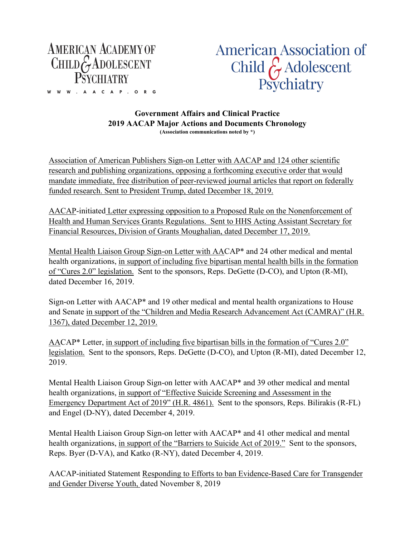

W W W . A A C A P . O R G

American Association of Child  $\hat{\zeta}$  Adolescent Psychiatry

## **Government Affairs and Clinical Practice 2019 AACAP Major Actions and Documents Chronology (Association communications noted by \*)**

Association of American Publishers Sign-on Letter with AACAP and 124 other scientific research and publishing organizations, opposing a forthcoming executive order that would mandate immediate, free distribution of peer-reviewed journal articles that report on federally funded research. Sent to President Trump, dated December 18, 2019.

AACAP-initiated Letter expressing opposition to a Proposed Rule on the Nonenforcement of Health and Human Services Grants Regulations. Sent to HHS Acting Assistant Secretary for Financial Resources, Division of Grants Moughalian, dated December 17, 2019.

Mental Health Liaison Group Sign-on Letter with AACAP\* and 24 other medical and mental health organizations, in support of including five bipartisan mental health bills in the formation of "Cures 2.0" legislation. Sent to the sponsors, Reps. DeGette (D-CO), and Upton (R-MI), dated December 16, 2019.

Sign-on Letter with AACAP\* and 19 other medical and mental health organizations to House and Senate in support of the "Children and Media Research Advancement Act (CAMRA)[" \(H.R.](https://urldefense.proofpoint.com/v2/url?u=https-3A__www.congress.gov_116_bills_hr1367_BILLS-2D116hr1367ih.pdf&d=DwMF-g&c=G2MiLlal7SXE3PeSnG8W6_JBU6FcdVjSsBSbw6gcR0U&r=f7_KQRTnKcp4GmIuThJxrAQffQitV8lFie2QpL0wCLI&m=9fkUeq_FdFnqUMlLa32Ea9rS2C1aWJoAWbbTXlqHx4c&s=JWV_kfO7Yg2yYwlnKTfUD349CDYJeHKnpvXygSJs59g&e=)  [1367\)](https://urldefense.proofpoint.com/v2/url?u=https-3A__www.congress.gov_116_bills_hr1367_BILLS-2D116hr1367ih.pdf&d=DwMF-g&c=G2MiLlal7SXE3PeSnG8W6_JBU6FcdVjSsBSbw6gcR0U&r=f7_KQRTnKcp4GmIuThJxrAQffQitV8lFie2QpL0wCLI&m=9fkUeq_FdFnqUMlLa32Ea9rS2C1aWJoAWbbTXlqHx4c&s=JWV_kfO7Yg2yYwlnKTfUD349CDYJeHKnpvXygSJs59g&e=), dated December 12, 2019.

AACAP\* Letter, in support of including five bipartisan bills in the formation of "Cures 2.0" legislation. Sent to the sponsors, Reps. DeGette (D-CO), and Upton (R-MI), dated December 12, 2019.

Mental Health Liaison Group Sign-on letter with AACAP\* and 39 other medical and mental health organizations, in support of "Effective Suicide Screening and Assessment in the Emergency Department Act of 2019" (H.R. 4861). Sent to the sponsors, Reps. Bilirakis (R-FL) and Engel (D-NY), dated December 4, 2019.

Mental Health Liaison Group Sign-on letter with AACAP\* and 41 other medical and mental health organizations, in support of the "Barriers to Suicide Act of 2019." Sent to the sponsors, Reps. Byer (D-VA), and Katko (R-NY), dated December 4, 2019.

AACAP-initiated Statement Responding to Efforts to ban Evidence-Based Care for Transgender and Gender Diverse Youth, dated November 8, 2019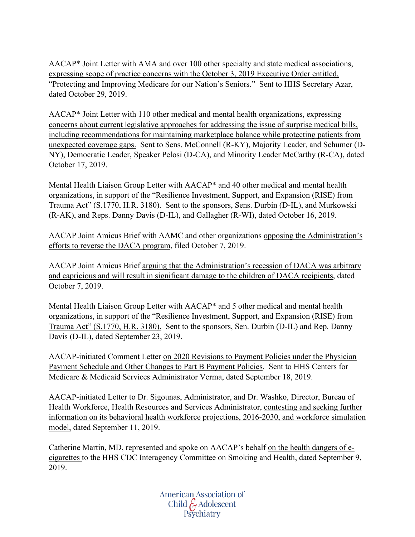AACAP\* Joint Letter with AMA and over 100 other specialty and state medical associations, expressing scope of practice concerns with the October 3, 2019 Executive Order entitled, "Protecting and Improving Medicare for our Nation's Seniors." Sent to HHS Secretary Azar, dated October 29, 2019.

AACAP\* Joint Letter with 110 other medical and mental health organizations, expressing concerns about current legislative approaches for addressing the issue of surprise medical bills, including recommendations for maintaining marketplace balance while protecting patients from unexpected coverage gaps. Sent to Sens. McConnell (R-KY), Majority Leader, and Schumer (D-NY), Democratic Leader, Speaker Pelosi (D-CA), and Minority Leader McCarthy (R-CA), dated October 17, 2019.

Mental Health Liaison Group Letter with AACAP\* and 40 other medical and mental health organizations, in support of the "Resilience Investment, Support, and Expansion (RISE) from Trauma Act" (S.1770, H.R. 3180). Sent to the sponsors, Sens. Durbin (D-IL), and Murkowski (R-AK), and Reps. Danny Davis (D-IL), and Gallagher (R-WI), dated October 16, 2019.

AACAP Joint Amicus Brief with AAMC and other organizations opposing the Administration's efforts to reverse the DACA program, filed October 7, 2019.

AACAP Joint Amicus Brief arguing that the Administration's recession of DACA was arbitrary and capricious and will result in significant damage to the children of DACA recipients, dated October 7, 2019.

Mental Health Liaison Group Letter with AACAP\* and 5 other medical and mental health organizations, in support of the "Resilience Investment, Support, and Expansion (RISE) from Trauma Act" (S.1770, H.R. 3180). Sent to the sponsors, Sen. Durbin (D-IL) and Rep. Danny Davis (D-IL), dated September 23, 2019.

AACAP-initiated Comment Letter on 2020 Revisions to Payment Policies under the Physician Payment Schedule and Other Changes to Part B Payment Policies. Sent to HHS Centers for Medicare & Medicaid Services Administrator Verma, dated September 18, 2019.

AACAP-initiated Letter to Dr. Sigounas, Administrator, and Dr. Washko, Director, Bureau of Health Workforce, Health Resources and Services Administrator, contesting and seeking further information on its behavioral health workforce projections, 2016-2030, and workforce simulation model, dated September 11, 2019.

Catherine Martin, MD, represented and spoke on AACAP's behalf on the health dangers of ecigarettes to the HHS CDC Interagency Committee on Smoking and Health, dated September 9, 2019.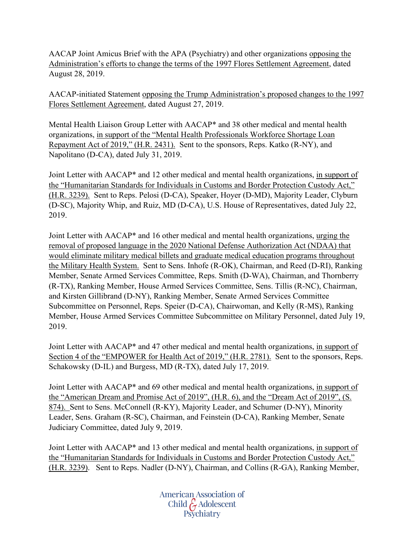AACAP Joint Amicus Brief with the APA (Psychiatry) and other organizations opposing the Administration's efforts to change the terms of the 1997 Flores Settlement Agreement, dated August 28, 2019.

AACAP-initiated Statement opposing the Trump Administration's proposed changes to the 1997 Flores Settlement Agreement, dated August 27, 2019.

Mental Health Liaison Group Letter with AACAP\* and 38 other medical and mental health organizations, in support of the "Mental Health Professionals Workforce Shortage Loan Repayment Act of 2019," (H.R. 2431). Sent to the sponsors, Reps. Katko (R-NY), and Napolitano (D-CA), dated July 31, 2019.

Joint Letter with AACAP\* and 12 other medical and mental health organizations, in support of the "Humanitarian Standards for Individuals in Customs and Border Protection Custody Act," (H.R. 3239). Sent to Reps. Pelosi (D-CA), Speaker, Hoyer (D-MD), Majority Leader, Clyburn (D-SC), Majority Whip, and Ruiz, MD (D-CA), U.S. House of Representatives, dated July 22, 2019.

Joint Letter with AACAP\* and 16 other medical and mental health organizations, urging the removal of proposed language in the 2020 National Defense Authorization Act (NDAA) that would eliminate military medical billets and graduate medical education programs throughout the Military Health System. Sent to Sens. Inhofe (R-OK), Chairman, and Reed (D-RI), Ranking Member, Senate Armed Services Committee, Reps. Smith (D-WA), Chairman, and Thornberry (R-TX), Ranking Member, House Armed Services Committee, Sens. Tillis (R-NC), Chairman, and Kirsten Gillibrand (D-NY), Ranking Member, Senate Armed Services Committee Subcommittee on Personnel, Reps. Speier (D-CA), Chairwoman, and Kelly (R-MS), Ranking Member, House Armed Services Committee Subcommittee on Military Personnel, dated July 19, 2019.

Joint Letter with AACAP\* and 47 other medical and mental health organizations, in support of Section 4 of the "EMPOWER for Health Act of 2019," (H.R. 2781). Sent to the sponsors, Reps. Schakowsky (D-IL) and Burgess, MD (R-TX), dated July 17, 2019.

Joint Letter with AACAP<sup>\*</sup> and 69 other medical and mental health organizations, in support of the "American Dream and Promise Act of 2019", (H.R. 6), and the "Dream Act of 2019", (S. 874). Sent to Sens. McConnell (R-KY), Majority Leader, and Schumer (D-NY), Minority Leader, Sens. Graham (R-SC), Chairman, and Feinstein (D-CA), Ranking Member, Senate Judiciary Committee, dated July 9, 2019.

Joint Letter with AACAP\* and 13 other medical and mental health organizations, in support of the "Humanitarian Standards for Individuals in Customs and Border Protection Custody Act," (H.R. 3239). Sent to Reps. Nadler (D-NY), Chairman, and Collins (R-GA), Ranking Member,

> American Association of Child G Adolescent<br>Psychiatry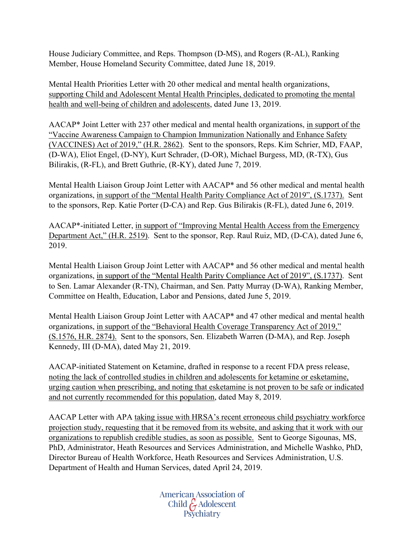House Judiciary Committee, and Reps. Thompson (D-MS), and Rogers (R-AL), Ranking Member, House Homeland Security Committee, dated June 18, 2019.

Mental Health Priorities Letter with 20 other medical and mental health organizations, supporting Child and Adolescent Mental Health Principles, dedicated to promoting the mental health and well-being of children and adolescents, dated June 13, 2019.

AACAP\* Joint Letter with 237 other medical and mental health organizations, in support of the "Vaccine Awareness Campaign to Champion Immunization Nationally and Enhance Safety (VACCINES) Act of 2019," (H.R. 2862). Sent to the sponsors, Reps. Kim Schrier, MD, FAAP, (D-WA), Eliot Engel, (D-NY), Kurt Schrader, (D-OR), Michael Burgess, MD, (R-TX), Gus Bilirakis, (R-FL), and Brett Guthrie, (R-KY), dated June 7, 2019.

Mental Health Liaison Group Joint Letter with AACAP\* and 56 other medical and mental health organizations, in support of the "Mental Health Parity Compliance Act of 2019", (S.1737). Sent to the sponsors, Rep. Katie Porter (D-CA) and Rep. Gus Bilirakis (R-FL), dated June 6, 2019.

AACAP\*-initiated Letter, in support of "Improving Mental Health Access from the Emergency Department Act," (H.R. 2519). Sent to the sponsor, Rep. Raul Ruiz, MD, (D-CA), dated June 6, 2019.

Mental Health Liaison Group Joint Letter with AACAP\* and 56 other medical and mental health organizations, in support of the "Mental Health Parity Compliance Act of 2019", (S.1737). Sent to Sen. Lamar Alexander (R-TN), Chairman, and Sen. Patty Murray (D-WA), Ranking Member, Committee on Health, Education, Labor and Pensions, dated June 5, 2019.

Mental Health Liaison Group Joint Letter with AACAP\* and 47 other medical and mental health organizations, in support of the "Behavioral Health Coverage Transparency Act of 2019," (S.1576, H.R. 2874). Sent to the sponsors, Sen. Elizabeth Warren (D-MA), and Rep. Joseph Kennedy, III (D-MA), dated May 21, 2019.

AACAP-initiated Statement on Ketamine, drafted in response to a recent FDA press release, noting the lack of controlled studies in children and adolescents for ketamine or esketamine, urging caution when prescribing, and noting that esketamine is not proven to be safe or indicated and not currently recommended for this population, dated May 8, 2019.

AACAP Letter with APA taking issue with HRSA's recent erroneous child psychiatry workforce projection study, requesting that it be removed from its website, and asking that it work with our organizations to republish credible studies, as soon as possible. Sent to George Sigounas, MS, PhD, Administrator, Heath Resources and Services Administration, and Michelle Washko, PhD, Director Bureau of Health Workforce, Heath Resources and Services Administration, U.S. Department of Health and Human Services, dated April 24, 2019.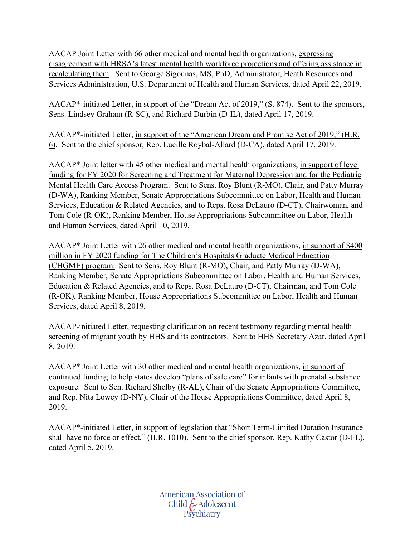AACAP Joint Letter with 66 other medical and mental health organizations, expressing disagreement with HRSA's latest mental health workforce projections and offering assistance in recalculating them. Sent to George Sigounas, MS, PhD, Administrator, Heath Resources and Services Administration, U.S. Department of Health and Human Services, dated April 22, 2019.

AACAP\*-initiated Letter, in support of the "Dream Act of 2019," (S. 874). Sent to the sponsors, Sens. Lindsey Graham (R-SC), and Richard Durbin (D-IL), dated April 17, 2019.

AACAP\*-initiated Letter, in support of the "American Dream and Promise Act of 2019," (H.R. 6). Sent to the chief sponsor, Rep. Lucille Roybal-Allard (D-CA), dated April 17, 2019.

AACAP\* Joint letter with 45 other medical and mental health organizations, in support of level funding for FY 2020 for Screening and Treatment for Maternal Depression and for the Pediatric Mental Health Care Access Program. Sent to Sens. Roy Blunt (R-MO), Chair, and Patty Murray (D-WA), Ranking Member, Senate Appropriations Subcommittee on Labor, Health and Human Services, Education & Related Agencies, and to Reps. Rosa DeLauro (D-CT), Chairwoman, and Tom Cole (R-OK), Ranking Member, House Appropriations Subcommittee on Labor, Health and Human Services, dated April 10, 2019.

AACAP\* Joint Letter with 26 other medical and mental health organizations, in support of \$400 million in FY 2020 funding for The Children's Hospitals Graduate Medical Education (CHGME) program. Sent to Sens. Roy Blunt (R-MO), Chair, and Patty Murray (D-WA), Ranking Member, Senate Appropriations Subcommittee on Labor, Health and Human Services, Education & Related Agencies, and to Reps. Rosa DeLauro (D-CT), Chairman, and Tom Cole (R-OK), Ranking Member, House Appropriations Subcommittee on Labor, Health and Human Services, dated April 8, 2019.

AACAP-initiated Letter, requesting clarification on recent testimony regarding mental health screening of migrant youth by HHS and its contractors. Sent to HHS Secretary Azar, dated April 8, 2019.

AACAP\* Joint Letter with 30 other medical and mental health organizations, in support of continued funding to help states develop "plans of safe care" for infants with prenatal substance exposure. Sent to Sen. Richard Shelby (R-AL), Chair of the Senate Appropriations Committee, and Rep. Nita Lowey (D-NY), Chair of the House Appropriations Committee, dated April 8, 2019.

AACAP\*-initiated Letter, in support of legislation that "Short Term-Limited Duration Insurance shall have no force or effect," (H.R. 1010). Sent to the chief sponsor, Rep. Kathy Castor (D-FL), dated April 5, 2019.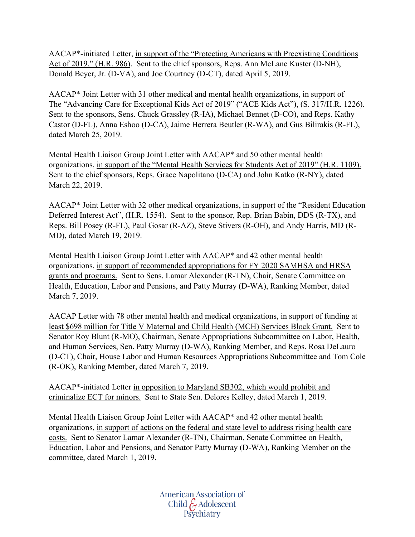AACAP\*-initiated Letter, in support of the "Protecting Americans with Preexisting Conditions Act of 2019," (H.R. 986). Sent to the chief sponsors, Reps. Ann McLane Kuster (D-NH), Donald Beyer, Jr. (D-VA), and Joe Courtney (D-CT), dated April 5, 2019.

AACAP\* Joint Letter with 31 other medical and mental health organizations, in support of The "Advancing Care for Exceptional Kids Act of 2019" ("ACE Kids Act"), (S. 317/H.R. 1226). Sent to the sponsors, Sens. Chuck Grassley (R-IA), Michael Bennet (D-CO), and Reps. Kathy Castor (D-FL), Anna Eshoo (D-CA), Jaime Herrera Beutler (R-WA), and Gus Bilirakis (R-FL), dated March 25, 2019.

Mental Health Liaison Group Joint Letter with AACAP\* and 50 other mental health organizations, in support of the "Mental Health Services for Students Act of 2019" (H.R. 1109). Sent to the chief sponsors, Reps. Grace Napolitano (D-CA) and John Katko (R-NY), dated March 22, 2019.

AACAP\* Joint Letter with 32 other medical organizations, in support of the "Resident Education Deferred Interest Act", (H.R. 1554). Sent to the sponsor, Rep. Brian Babin, DDS (R-TX), and Reps. Bill Posey (R-FL), Paul Gosar (R-AZ), Steve Stivers (R-OH), and Andy Harris, MD (R-MD), dated March 19, 2019.

Mental Health Liaison Group Joint Letter with AACAP\* and 42 other mental health organizations, in support of recommended appropriations for FY 2020 SAMHSA and HRSA grants and programs. Sent to Sens. Lamar Alexander (R-TN), Chair, Senate Committee on Health, Education, Labor and Pensions, and Patty Murray (D-WA), Ranking Member, dated March 7, 2019.

AACAP Letter with 78 other mental health and medical organizations, in support of funding at least \$698 million for Title V Maternal and Child Health (MCH) Services Block Grant. Sent to Senator Roy Blunt (R-MO), Chairman, Senate Appropriations Subcommittee on Labor, Health, and Human Services, Sen. Patty Murray (D-WA), Ranking Member, and Reps. Rosa DeLauro (D-CT), Chair, House Labor and Human Resources Appropriations Subcommittee and Tom Cole (R-OK), Ranking Member, dated March 7, 2019.

AACAP\*-initiated Letter in opposition to Maryland SB302, which would prohibit and criminalize ECT for minors. Sent to State Sen. Delores Kelley, dated March 1, 2019.

Mental Health Liaison Group Joint Letter with AACAP\* and 42 other mental health organizations, in support of actions on the federal and state level to address rising health care costs. Sent to Senator Lamar Alexander (R-TN), Chairman, Senate Committee on Health, Education, Labor and Pensions, and Senator Patty Murray (D-WA), Ranking Member on the committee, dated March 1, 2019.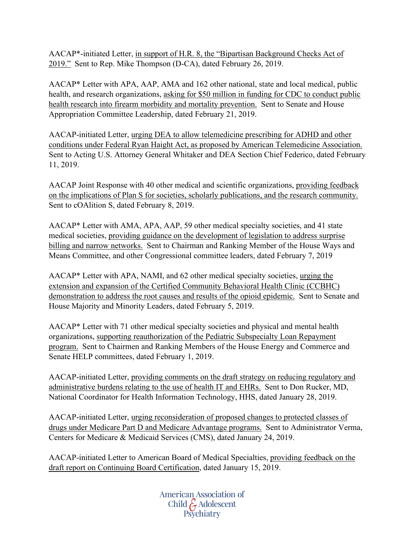AACAP\*-initiated Letter, in support of H.R. 8, the "Bipartisan Background Checks Act of 2019." Sent to Rep. Mike Thompson (D-CA), dated February 26, 2019.

AACAP\* Letter with APA, AAP, AMA and 162 other national, state and local medical, public health, and research organizations, asking for \$50 million in funding for CDC to conduct public health research into firearm morbidity and mortality prevention. Sent to Senate and House Appropriation Committee Leadership, dated February 21, 2019.

AACAP-initiated Letter, urging DEA to allow telemedicine prescribing for ADHD and other conditions under Federal Ryan Haight Act, as proposed by American Telemedicine Association. Sent to Acting U.S. Attorney General Whitaker and DEA Section Chief Federico, dated February 11, 2019.

AACAP Joint Response with 40 other medical and scientific organizations, providing feedback on the implications of Plan S for societies, scholarly publications, and the research community. Sent to cOAlition S, dated February 8, 2019.

AACAP\* Letter with AMA, APA, AAP, 59 other medical specialty societies, and 41 state medical societies, providing guidance on the development of legislation to address surprise billing and narrow networks. Sent to Chairman and Ranking Member of the House Ways and Means Committee, and other Congressional committee leaders, dated February 7, 2019

AACAP\* Letter with APA, NAMI, and 62 other medical specialty societies, urging the extension and expansion of the Certified Community Behavioral Health Clinic (CCBHC) demonstration to address the root causes and results of the opioid epidemic. Sent to Senate and House Majority and Minority Leaders, dated February 5, 2019.

AACAP\* Letter with 71 other medical specialty societies and physical and mental health organizations, supporting reauthorization of the Pediatric Subspecialty Loan Repayment program. Sent to Chairmen and Ranking Members of the House Energy and Commerce and Senate HELP committees, dated February 1, 2019.

AACAP-initiated Letter, providing comments on the draft strategy on reducing regulatory and administrative burdens relating to the use of health IT and EHRs. Sent to Don Rucker, MD, National Coordinator for Health Information Technology, HHS, dated January 28, 2019.

AACAP-initiated Letter, urging reconsideration of proposed changes to protected classes of drugs under Medicare Part D and Medicare Advantage programs. Sent to Administrator Verma, Centers for Medicare & Medicaid Services (CMS), dated January 24, 2019.

AACAP-initiated Letter to American Board of Medical Specialties, providing feedback on the draft report on Continuing Board Certification, dated January 15, 2019.

> American Association of Child G Adolescent<br>Psychiatry